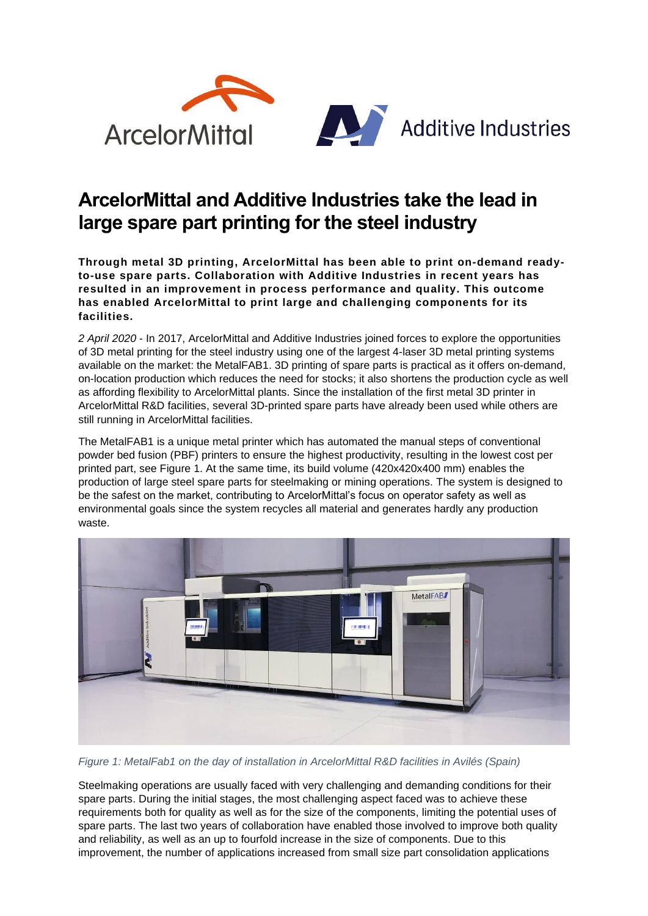

## **ArcelorMittal and Additive Industries take the lead in large spare part printing for the steel industry**

**Through metal 3D printing, ArcelorMittal has been able to print on-demand readyto-use spare parts. Collaboration with Additive Industries in recent years has resulted in an improvement in process performance and quality. This outcome has enabled ArcelorMittal to print large and challenging components for its facilities.** 

*2 April 2020* - In 2017, ArcelorMittal and Additive Industries joined forces to explore the opportunities of 3D metal printing for the steel industry using one of the largest 4-laser 3D metal printing systems available on the market: the MetalFAB1. 3D printing of spare parts is practical as it offers on-demand, on-location production which reduces the need for stocks; it also shortens the production cycle as well as affording flexibility to ArcelorMittal plants. Since the installation of the first metal 3D printer in ArcelorMittal R&D facilities, several 3D-printed spare parts have already been used while others are still running in ArcelorMittal facilities.

The MetalFAB1 is a unique metal printer which has automated the manual steps of conventional powder bed fusion (PBF) printers to ensure the highest productivity, resulting in the lowest cost per printed part, see [Figure 1.](#page-0-0) At the same time, its build volume (420x420x400 mm) enables the production of large steel spare parts for steelmaking or mining operations. The system is designed to be the safest on the market, contributing to ArcelorMittal's focus on operator safety as well as environmental goals since the system recycles all material and generates hardly any production waste.



*Figure 1: MetalFab1 on the day of installation in ArcelorMittal R&D facilities in Avilés (Spain)*

<span id="page-0-0"></span>Steelmaking operations are usually faced with very challenging and demanding conditions for their spare parts. During the initial stages, the most challenging aspect faced was to achieve these requirements both for quality as well as for the size of the components, limiting the potential uses of spare parts. The last two years of collaboration have enabled those involved to improve both quality and reliability, as well as an up to fourfold increase in the size of components. Due to this improvement, the number of applications increased from small size part consolidation applications